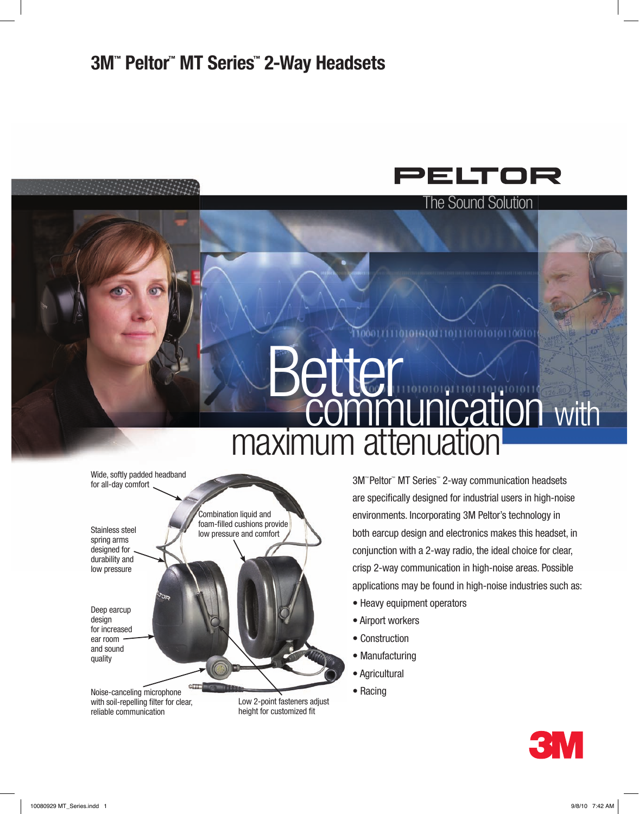

The Sound Solution

ööTc

# **Better** maximum attenuation **communication** with

Stainless steel spring arms designed for durability and low pressure Wide, softly padded headband for all-day comfort Deep earcup design for increased ear room and sound quality Combination liquid and foam-filled cushions provide low pressure and comfort

Noise-canceling microphone with soil-repelling filter for clear, reliable communication

Low 2-point fasteners adjust height for customized fit

3M™ Peltor™ MT Series™ 2-way communication headsets are specifically designed for industrial users in high-noise environments. Incorporating 3M Peltor's technology in both earcup design and electronics makes this headset, in conjunction with a 2-way radio, the ideal choice for clear, crisp 2-way communication in high-noise areas. Possible applications may be found in high-noise industries such as:

- Heavy equipment operators
- Airport workers
- Construction
- Manufacturing
- Agricultural
- Racing